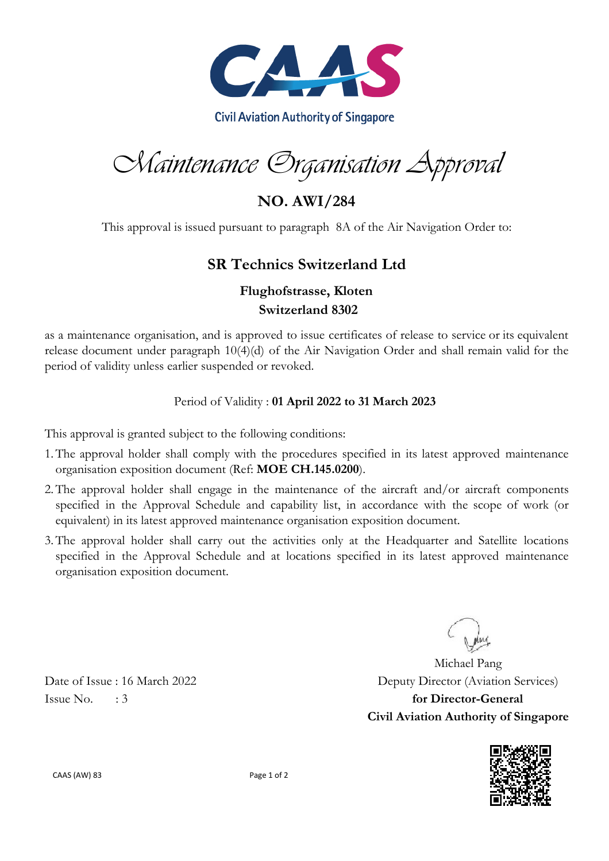

Maintenance Organisation Approval

**NO. AWI/284**

This approval is issued pursuant to paragraph 8A of the Air Navigation Order to:

## **SR Technics Switzerland Ltd**

### **Flughofstrasse, Kloten Switzerland 8302**

as a maintenance organisation, and is approved to issue certificates of release to service or its equivalent release document under paragraph 10(4)(d) of the Air Navigation Order and shall remain valid for the period of validity unless earlier suspended or revoked.

#### Period of Validity : **01 April 2022 to 31 March 2023**

This approval is granted subject to the following conditions:

- 1.The approval holder shall comply with the procedures specified in its latest approved maintenance organisation exposition document (Ref: **MOE CH.145.0200**).
- 2.The approval holder shall engage in the maintenance of the aircraft and/or aircraft components specified in the Approval Schedule and capability list, in accordance with the scope of work (or equivalent) in its latest approved maintenance organisation exposition document.
- 3.The approval holder shall carry out the activities only at the Headquarter and Satellite locations specified in the Approval Schedule and at locations specified in its latest approved maintenance organisation exposition document.

Michael Pang Date of Issue : 16 March 2022 Deputy Director (Aviation Services) Issue No. : 3 **for Director-General Civil Aviation Authority of Singapore**